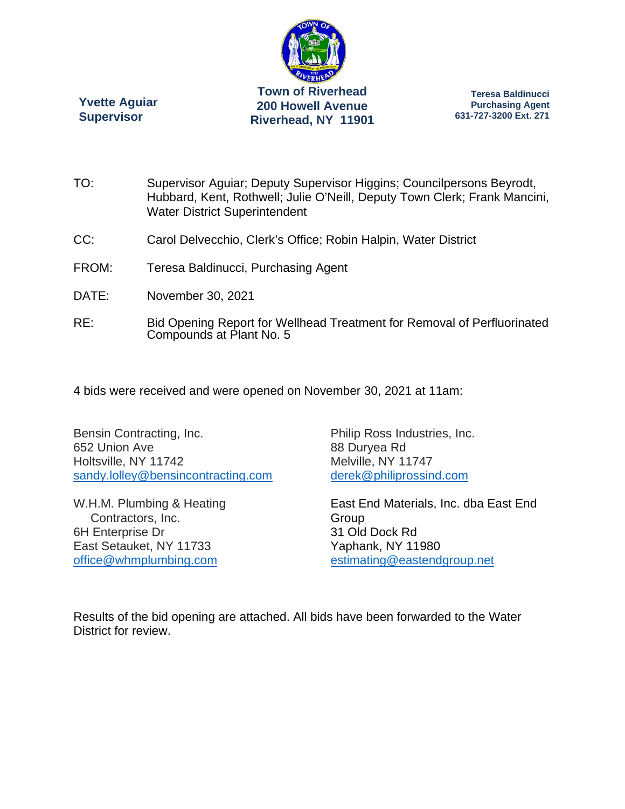

**Yvette Aguiar Supervisor** 

**Teresa Baldinucci Purchasing Agent 631-727-3200 Ext. 271** 

- TO: Supervisor Aguiar; Deputy Supervisor Higgins; Councilpersons Beyrodt, Hubbard, Kent, Rothwell; Julie O'Neill, Deputy Town Clerk; Frank Mancini, Water District Superintendent
- CC: Carol Delvecchio, Clerk's Office; Robin Halpin, Water District
- FROM: Teresa Baldinucci, Purchasing Agent
- DATE: November 30, 2021
- RE: Bid Opening Report for Wellhead Treatment for Removal of Perfluorinated Compounds at Plant No. 5
- 4 bids were received and were opened on November 30, 2021 at 11am:

Bensin Contracting, Inc. 652 Union Ave Holtsville, NY 11742 sandy.lolley@bensincontracting.com

W.H.M. Plumbing & Heating Contractors, Inc. 6H Enterprise Dr East Setauket, NY 11733 office@whmplumbing.com

Philip Ross Industries, Inc. 88 Duryea Rd Melville, NY 11747 derek@philiprossind.com

East End Materials, Inc. dba East End Group 31 Old Dock Rd Yaphank, NY 11980 estimating@eastendgroup.net

Results of the bid opening are attached. All bids have been forwarded to the Water District for review.